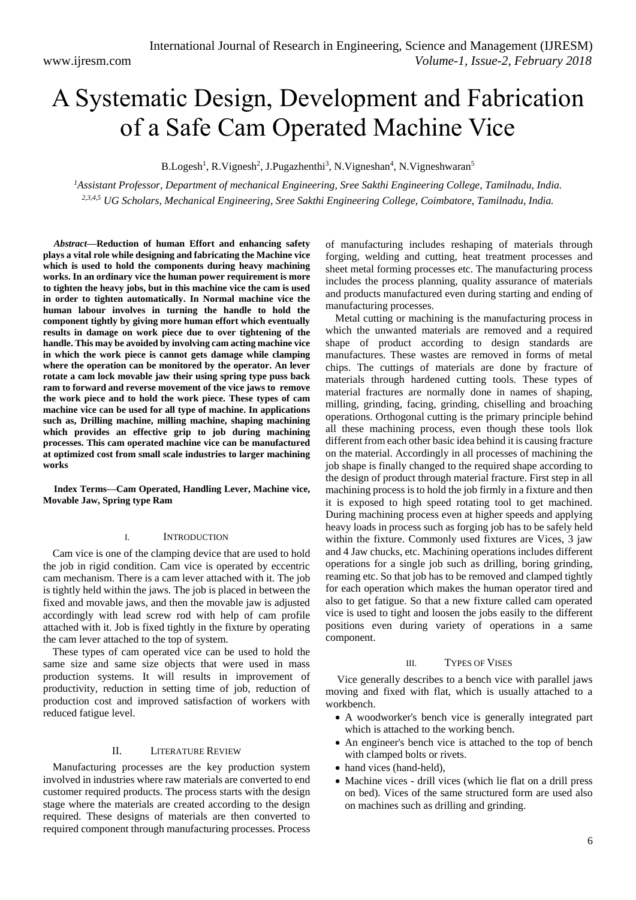# A Systematic Design, Development and Fabrication of a Safe Cam Operated Machine Vice

B.Logesh<sup>1</sup>, R.Vignesh<sup>2</sup>, J.Pugazhenthi<sup>3</sup>, N.Vigneshan<sup>4</sup>, N.Vigneshwaran<sup>5</sup>

*<sup>1</sup>Assistant Professor, Department of mechanical Engineering, Sree Sakthi Engineering College, Tamilnadu, India. 2,3,4,5 UG Scholars, Mechanical Engineering, Sree Sakthi Engineering College, Coimbatore, Tamilnadu, India.*

*Abstract***—Reduction of human Effort and enhancing safety plays a vital role while designing and fabricating the Machine vice which is used to hold the components during heavy machining works. In an ordinary vice the human power requirement is more to tighten the heavy jobs, but in this machine vice the cam is used in order to tighten automatically. In Normal machine vice the human labour involves in turning the handle to hold the component tightly by giving more human effort which eventually results in damage on work piece due to over tightening of the handle. This may be avoided by involving cam acting machine vice in which the work piece is cannot gets damage while clamping where the operation can be monitored by the operator. An lever rotate a cam lock movable jaw their using spring type puss back ram to forward and reverse movement of the vice jaws to remove the work piece and to hold the work piece. These types of cam machine vice can be used for all type of machine. In applications such as, Drilling machine, milling machine, shaping machining which provides an effective grip to job during machining processes. This cam operated machine vice can be manufactured at optimized cost from small scale industries to larger machining works**

**Index Terms—Cam Operated, Handling Lever, Machine vice, Movable Jaw, Spring type Ram**

#### I. INTRODUCTION

Cam vice is one of the clamping device that are used to hold the job in rigid condition. Cam vice is operated by eccentric cam mechanism. There is a cam lever attached with it. The job is tightly held within the jaws. The job is placed in between the fixed and movable jaws, and then the movable jaw is adjusted accordingly with lead screw rod with help of cam profile attached with it. Job is fixed tightly in the fixture by operating the cam lever attached to the top of system.

These types of cam operated vice can be used to hold the same size and same size objects that were used in mass production systems. It will results in improvement of productivity, reduction in setting time of job, reduction of production cost and improved satisfaction of workers with reduced fatigue level.

#### II. LITERATURE REVIEW

Manufacturing processes are the key production system involved in industries where raw materials are converted to end customer required products. The process starts with the design stage where the materials are created according to the design required. These designs of materials are then converted to required component through manufacturing processes. Process

of manufacturing includes reshaping of materials through forging, welding and cutting, heat treatment processes and sheet metal forming processes etc. The manufacturing process includes the process planning, quality assurance of materials and products manufactured even during starting and ending of manufacturing processes.

Metal cutting or machining is the manufacturing process in which the unwanted materials are removed and a required shape of product according to design standards are manufactures. These wastes are removed in forms of metal chips. The cuttings of materials are done by fracture of materials through hardened cutting tools. These types of material fractures are normally done in names of shaping, milling, grinding, facing, grinding, chiselling and broaching operations. Orthogonal cutting is the primary principle behind all these machining process, even though these tools llok different from each other basic idea behind it is causing fracture on the material. Accordingly in all processes of machining the job shape is finally changed to the required shape according to the design of product through material fracture. First step in all machining process is to hold the job firmly in a fixture and then it is exposed to high speed rotating tool to get machined. During machining process even at higher speeds and applying heavy loads in process such as forging job has to be safely held within the fixture. Commonly used fixtures are Vices, 3 jaw and 4 Jaw chucks, etc. Machining operations includes different operations for a single job such as drilling, boring grinding, reaming etc. So that job has to be removed and clamped tightly for each operation which makes the human operator tired and also to get fatigue. So that a new fixture called cam operated vice is used to tight and loosen the jobs easily to the different positions even during variety of operations in a same component.

#### III. TYPES OF VISES

Vice generally describes to a bench vice with parallel jaws moving and fixed with flat, which is usually attached to a workbench.

- A woodworker's bench vice is generally integrated part which is attached to the working bench.
- An engineer's bench vice is attached to the top of bench with clamped bolts or rivets.
- hand vices (hand-held).
- Machine vices drill vices (which lie flat on a drill press on bed). Vices of the same structured form are used also on machines such as drilling and grinding.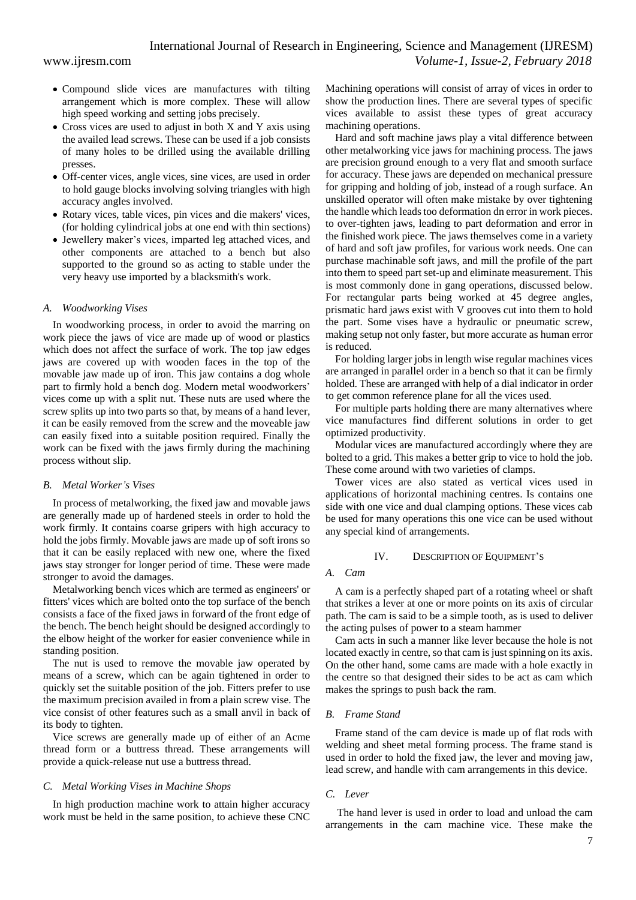- Compound slide vices are manufactures with tilting arrangement which is more complex. These will allow high speed working and setting jobs precisely.
- Cross vices are used to adjust in both X and Y axis using the availed lead screws. These can be used if a job consists of many holes to be drilled using the available drilling presses.
- Off-center vices, angle vices, sine vices, are used in order to hold gauge blocks involving solving triangles with high accuracy angles involved.
- Rotary vices, table vices, pin vices and die makers' vices, (for holding cylindrical jobs at one end with thin sections)
- Jewellery maker's vices, imparted leg attached vices, and other components are attached to a bench but also supported to the ground so as acting to stable under the very heavy use imported by a blacksmith's work.

# *A. Woodworking Vises*

In woodworking process, in order to avoid the marring on work piece the jaws of vice are made up of wood or plastics which does not affect the surface of work. The top jaw edges jaws are covered up with wooden faces in the top of the movable jaw made up of iron. This jaw contains a dog whole part to firmly hold a bench dog. Modern metal woodworkers' vices come up with a split nut. These nuts are used where the screw splits up into two parts so that, by means of a hand lever, it can be easily removed from the screw and the moveable jaw can easily fixed into a suitable position required. Finally the work can be fixed with the jaws firmly during the machining process without slip.

# *B. Metal Worker's Vises*

In process of metalworking, the fixed jaw and movable jaws are generally made up of hardened steels in order to hold the work firmly. It contains coarse gripers with high accuracy to hold the jobs firmly. Movable jaws are made up of soft irons so that it can be easily replaced with new one, where the fixed jaws stay stronger for longer period of time. These were made stronger to avoid the damages.

Metalworking bench vices which are termed as engineers' or fitters' vices which are bolted onto the top surface of the bench consists a face of the fixed jaws in forward of the front edge of the bench. The bench height should be designed accordingly to the elbow height of the worker for easier convenience while in standing position.

The nut is used to remove the movable jaw operated by means of a screw, which can be again tightened in order to quickly set the suitable position of the job. Fitters prefer to use the maximum precision availed in from a plain screw vise. The vice consist of other features such as a small anvil in back of its body to tighten.

Vice screws are generally made up of either of an Acme thread form or a buttress thread. These arrangements will provide a quick-release nut use a buttress thread.

# *C. Metal Working Vises in Machine Shops*

In high production machine work to attain higher accuracy work must be held in the same position, to achieve these CNC Machining operations will consist of array of vices in order to show the production lines. There are several types of specific vices available to assist these types of great accuracy machining operations.

Hard and soft machine jaws play a vital difference between other metalworking vice jaws for machining process. The jaws are precision ground enough to a very flat and smooth surface for accuracy. These jaws are depended on mechanical pressure for gripping and holding of job, instead of a rough surface. An unskilled operator will often make mistake by over tightening the handle which leads too deformation dn error in work pieces. to over-tighten jaws, leading to part deformation and error in the finished work piece. The jaws themselves come in a variety of hard and soft jaw profiles, for various work needs. One can purchase machinable soft jaws, and mill the profile of the part into them to speed part set-up and eliminate measurement. This is most commonly done in gang operations, discussed below. For rectangular parts being worked at 45 degree angles, prismatic hard jaws exist with V grooves cut into them to hold the part. Some vises have a hydraulic or pneumatic screw, making setup not only faster, but more accurate as human error is reduced.

For holding larger jobs in length wise regular machines vices are arranged in parallel order in a bench so that it can be firmly holded. These are arranged with help of a dial indicator in order to get common reference plane for all the vices used.

For multiple parts holding there are many alternatives where vice manufactures find different solutions in order to get optimized productivity.

Modular vices are manufactured accordingly where they are bolted to a grid. This makes a better grip to vice to hold the job. These come around with two varieties of clamps.

Tower vices are also stated as vertical vices used in applications of horizontal machining centres. Is contains one side with one vice and dual clamping options. These vices cab be used for many operations this one vice can be used without any special kind of arrangements.

# IV. DESCRIPTION OF EQUIPMENT'S

# *A. Cam*

A cam is a perfectly shaped part of a rotating wheel or shaft that strikes a lever at one or more points on its axis of circular path. The cam is said to be a simple tooth, as is used to deliver the acting pulses of power to a steam hammer

Cam acts in such a manner like lever because the hole is not located exactly in centre, so that cam is just spinning on its axis. On the other hand, some cams are made with a hole exactly in the centre so that designed their sides to be act as cam which makes the springs to push back the ram.

# *B. Frame Stand*

Frame stand of the cam device is made up of flat rods with welding and sheet metal forming process. The frame stand is used in order to hold the fixed jaw, the lever and moving jaw, lead screw, and handle with cam arrangements in this device.

# *C. Lever*

The hand lever is used in order to load and unload the cam arrangements in the cam machine vice. These make the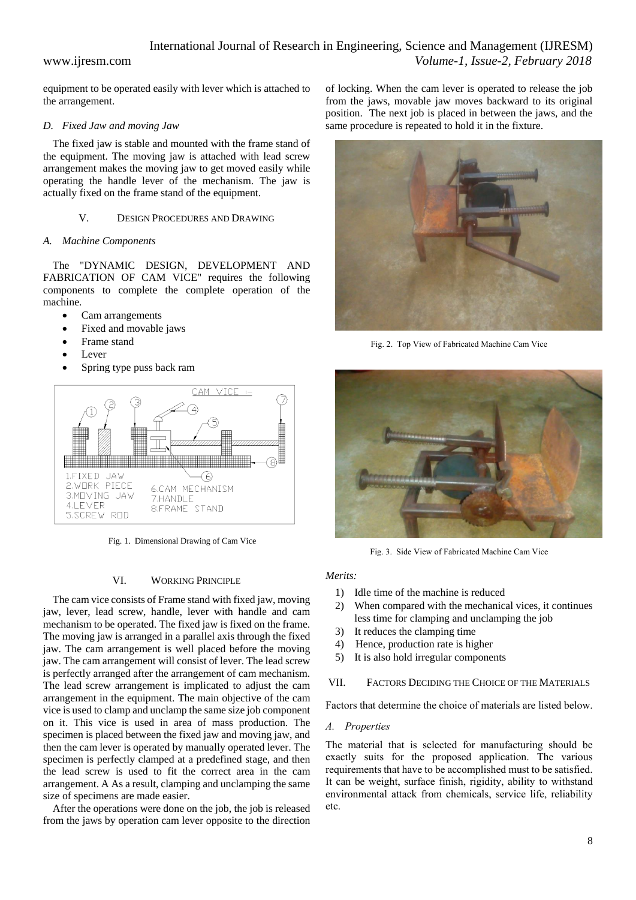# International Journal of Research in Engineering, Science and Management (IJRESM) www.ijresm.com *Volume-1, Issue-2, February 2018*

equipment to be operated easily with lever which is attached to the arrangement.

## *D. Fixed Jaw and moving Jaw*

The fixed jaw is stable and mounted with the frame stand of the equipment. The moving jaw is attached with lead screw arrangement makes the moving jaw to get moved easily while operating the handle lever of the mechanism. The jaw is actually fixed on the frame stand of the equipment.

## V. DESIGN PROCEDURES AND DRAWING

## *A. Machine Components*

The "DYNAMIC DESIGN, DEVELOPMENT AND FABRICATION OF CAM VICE" requires the following components to complete the complete operation of the machine.

- Cam arrangements
- Fixed and movable jaws
- Frame stand
- Lever
- Spring type puss back ram



Fig. 1. Dimensional Drawing of Cam Vice

# VI. WORKING PRINCIPLE

The cam vice consists of Frame stand with fixed jaw, moving jaw, lever, lead screw, handle, lever with handle and cam mechanism to be operated. The fixed jaw is fixed on the frame. The moving jaw is arranged in a parallel axis through the fixed jaw. The cam arrangement is well placed before the moving jaw. The cam arrangement will consist of lever. The lead screw is perfectly arranged after the arrangement of cam mechanism. The lead screw arrangement is implicated to adjust the cam arrangement in the equipment. The main objective of the cam vice is used to clamp and unclamp the same size job component on it. This vice is used in area of mass production. The specimen is placed between the fixed jaw and moving jaw, and then the cam lever is operated by manually operated lever. The specimen is perfectly clamped at a predefined stage, and then the lead screw is used to fit the correct area in the cam arrangement. A As a result, clamping and unclamping the same size of specimens are made easier.

After the operations were done on the job, the job is released from the jaws by operation cam lever opposite to the direction of locking. When the cam lever is operated to release the job from the jaws, movable jaw moves backward to its original position. The next job is placed in between the jaws, and the same procedure is repeated to hold it in the fixture.



Fig. 2. Top View of Fabricated Machine Cam Vice



Fig. 3. Side View of Fabricated Machine Cam Vice

#### *Merits:*

- 1) Idle time of the machine is reduced
- 2) When compared with the mechanical vices, it continues less time for clamping and unclamping the job
- 3) It reduces the clamping time
- 4) Hence, production rate is higher
- 5) It is also hold irregular components

#### VII. FACTORS DECIDING THE CHOICE OF THE MATERIALS

Factors that determine the choice of materials are listed below.

#### *A. Properties*

The material that is selected for manufacturing should be exactly suits for the proposed application. The various requirements that have to be accomplished must to be satisfied. It can be weight, surface finish, rigidity, ability to withstand environmental attack from chemicals, service life, reliability etc.